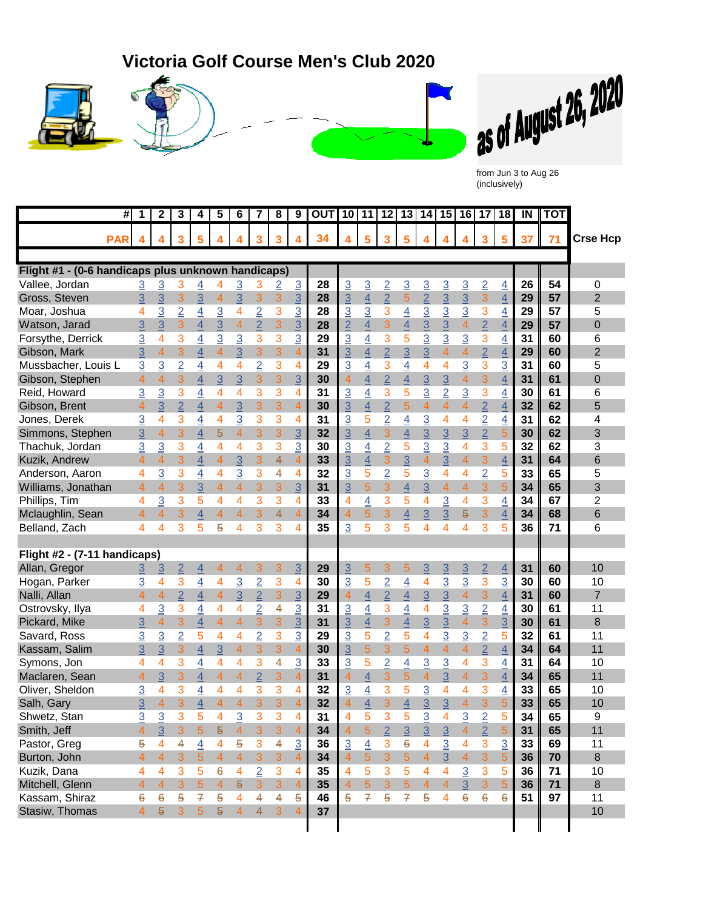## **Victoria Golf Course Men's Club 2020**









(inclusively)

|                                                    | #          | 1                        | 2                       | 3              | 4                       | 5              | 6                        | 7              | 8 | 9                       | <b>OUT</b> |                |                          |                |                          |                         |                         |                | 10 11 12 13 14 15 16 17 18 |                | $\overline{N}$ | <b>I</b> TOT      |                 |
|----------------------------------------------------|------------|--------------------------|-------------------------|----------------|-------------------------|----------------|--------------------------|----------------|---|-------------------------|------------|----------------|--------------------------|----------------|--------------------------|-------------------------|-------------------------|----------------|----------------------------|----------------|----------------|-------------------|-----------------|
|                                                    | <b>PAR</b> |                          |                         | 3              | 5                       |                | 4                        | 3              | 3 |                         | 34         |                | 5                        | 3              | 5                        | 4                       |                         |                | 3                          | 5              | 37             | $\blacksquare$ 71 | <b>Crse Hcp</b> |
|                                                    |            |                          |                         |                |                         |                |                          |                |   |                         |            |                |                          |                |                          |                         |                         |                |                            |                |                |                   |                 |
| Flight #1 - (0-6 handicaps plus unknown handicaps) |            |                          |                         |                |                         |                |                          |                |   |                         |            |                |                          |                |                          |                         |                         |                |                            |                |                |                   |                 |
| Vallee, Jordan                                     |            | <u>3</u>                 | <u>3</u>                | 3              | 4                       | 4              | <u>3</u>                 | 3              | 2 | $\overline{3}$          | 28         | $\overline{3}$ | $\overline{3}$           | $\overline{2}$ | $\overline{3}$           | $\overline{3}$          | $\overline{3}$          | $\overline{3}$ | $\overline{2}$             | $\overline{4}$ | 26             | 54                | 0               |
| Gross, Steven                                      |            | $\overline{3}$           | 3                       | 3              | 3                       | $\overline{4}$ | $\overline{3}$           | 3              | 3 | $\overline{3}$          | 28         | $\overline{3}$ | $\overline{4}$           | $\overline{2}$ | 5                        | $\overline{2}$          | $\overline{3}$          | $\overline{3}$ | 3                          | $\overline{4}$ | 29             | 57                | $\overline{2}$  |
| Moar, Joshua                                       |            | 4                        | $\overline{3}$          | $\overline{2}$ | $\overline{4}$          | $\overline{3}$ | 4                        | $\overline{2}$ | 3 | $\overline{3}$          | 28         | $\overline{3}$ | $\overline{3}$           | 3              | $\overline{4}$           | $\overline{3}$          | $\overline{3}$          | $\overline{3}$ | 3                          | $\overline{4}$ | 29             | 57                | 5               |
| Watson, Jarad                                      |            | 3                        | 3                       | 3              | $\overline{4}$          | $\overline{3}$ | $\overline{\mathcal{A}}$ | $\overline{2}$ | 3 | $\overline{3}$          | 28         | $\overline{2}$ | $\overline{4}$           | 3              | $\overline{4}$           | $\overline{3}$          | $\overline{3}$          | $\overline{4}$ | $\overline{2}$             | $\overline{4}$ | 29             | 57                | $\mathbf 0$     |
| Forsythe, Derrick                                  |            | 3                        | 4                       | 3              | $\overline{4}$          | $\overline{3}$ | $\overline{3}$           | 3              | 3 | $\overline{3}$          | 29         | $\overline{3}$ | $\overline{4}$           | 3              | 5                        | $\overline{3}$          | $\overline{3}$          | $\overline{3}$ | 3                          | $\overline{4}$ | 31             | 60                | 6               |
| Gibson, Mark                                       |            | 3                        | $\overline{4}$          | 3              | 4                       | $\overline{4}$ | $\overline{3}$           | 3              | 3 | $\overline{4}$          | 31         | $\overline{3}$ | $\overline{4}$           | $\overline{2}$ | $\overline{3}$           | $\overline{3}$          | $\overline{\mathbf{4}}$ | $\overline{4}$ | $\overline{2}$             | $\overline{4}$ | 29             | 60                | $\overline{2}$  |
| Mussbacher, Louis L                                |            | 3                        | $\overline{3}$          | $\overline{2}$ | 4                       | 4              | 4                        | 2              | 3 | 4                       | 29         | $\overline{3}$ | 4                        | 3              | 4                        | 4                       | 4                       | $\overline{3}$ | 3                          | 3              | 31             | 60                | 5               |
| Gibson, Stephen                                    |            | $\overline{\mathcal{A}}$ | $\overline{\mathbf{4}}$ | 3              | 4                       | $\overline{3}$ | 3                        | 3              | 3 | $\overline{3}$          | 30         | $\overline{4}$ | $\overline{4}$           | $\overline{2}$ | $\overline{4}$           | $\overline{3}$          | $\overline{3}$          | $\overline{4}$ | 3                          | $\overline{4}$ | 31             | 61                | $\overline{0}$  |
| Reid, Howard                                       |            | $\overline{3}$           | $\overline{3}$          | 3              | 4                       | 4              | 4                        | 3              | 3 | 4                       | 31         | $\overline{3}$ | $\overline{4}$           | 3              | 5                        | $\overline{3}$          | $\overline{2}$          | $\overline{3}$ | 3                          | 4              | 30             | 61                | 6               |
| Gibson, Brent                                      |            | 4                        | 3                       | $\overline{2}$ | 4                       | $\overline{4}$ | 3                        | 3              | 3 | $\overline{4}$          | 30         | $\overline{3}$ | $\overline{\mathcal{A}}$ | $\overline{2}$ | 5                        | 4                       | 4                       | 4              | $\overline{2}$             | $\overline{4}$ | 32             | 62                | 5               |
| Jones, Derek                                       |            | $\overline{3}$           | 4                       | 3              | $\overline{4}$          | 4              | $\overline{3}$           | 3              | 3 | 4                       | 31         | $\overline{3}$ | 5                        | $\overline{2}$ | $\overline{4}$           | $\overline{3}$          | 4                       | 4              | $\overline{2}$             | $\overline{4}$ | 31             | 62                | 4               |
| Simmons, Stephen                                   |            | 3                        | $\overline{4}$          | 3              | 4                       | 5              | 4                        | 3              | 3 | $\overline{3}$          | 32         | $\overline{3}$ | $\overline{\mathbf{4}}$  | 3              | 4                        | $\overline{3}$          | $\overline{3}$          | $\overline{3}$ | $\overline{2}$             | 5              | 30             | 62                | 3               |
| Thachuk, Jordan                                    |            | 3                        | 3                       | 3              | 4                       | 4              | 4                        | 3              | 3 | $\overline{3}$          | 30         | $\overline{3}$ | 4                        | $\overline{2}$ | 5                        | $\overline{3}$          | $\overline{3}$          | 4              | 3                          | 5              | 32             | 62                | 3               |
| Kuzik, Andrew                                      |            | $\overline{\mathcal{A}}$ | $\overline{4}$          | 3              | 4                       | $\overline{4}$ | $\overline{3}$           | 3              | 4 | 4                       | 33         | $\overline{3}$ | $\overline{4}$           | 3              | $\overline{3}$           | $\overline{4}$          | $\overline{3}$          | $\overline{4}$ | 3                          | $\overline{4}$ | 31             | 64                | 6               |
| Anderson, Aaron                                    |            | 4                        | $\overline{3}$          | 3              | $\overline{4}$          | 4              | $\overline{3}$           | 3              | 4 | 4                       | 32         | $\overline{3}$ | 5                        | $\overline{2}$ | 5                        | $\overline{3}$          | 4                       | 4              | $\overline{2}$             | 5              | 33             | 65                | 5               |
| Williams, Jonathan                                 |            | $\overline{4}$           | 4                       | 3              | 3                       | $\overline{4}$ | 4                        | 3              | 3 | 3                       | 31         | 3              | 5                        | 3              | $\overline{4}$           | $\overline{3}$          | $\overline{4}$          | $\overline{4}$ | 3                          | 5              | 34             | 65                | 3               |
| Phillips, Tim                                      |            | 4                        | $\overline{3}$          | 3              | 5                       | 4              | 4                        | 3              | 3 | 4                       | 33         | 4              | $\overline{4}$           | 3              | 5                        | 4                       | $\overline{3}$          | 4              | 3                          | $\overline{4}$ | 34             | 67                | $\overline{c}$  |
| Mclaughlin, Sean                                   |            | $\overline{4}$           | 4                       | 3              | $\overline{4}$          | $\overline{4}$ | 4                        | 3              | 4 | $\overline{4}$          | 34         | $\overline{4}$ | 5                        | 3              | 4                        | $\overline{3}$          | 3                       | 5              | 3                          | $\overline{4}$ | 34             | 68                | 6               |
| Belland, Zach                                      |            | 4                        | 4                       | 3              | 5                       | 5              | 4                        | 3              | 3 | 4                       | 35         | 3              | 5                        | 3              | 5                        | 4                       | 4                       | 4              | 3                          | 5              | 36             | 71                | 6               |
|                                                    |            |                          |                         |                |                         |                |                          |                |   |                         |            |                |                          |                |                          |                         |                         |                |                            |                |                |                   |                 |
| Flight #2 - (7-11 handicaps)                       |            |                          |                         |                |                         |                |                          |                |   |                         |            |                |                          |                |                          |                         |                         |                |                            |                |                |                   |                 |
| Allan, Gregor                                      |            | 3                        | 3                       | $\overline{2}$ | $\overline{4}$          | 4              | 4                        | 3              | 3 | $\overline{3}$          | 29         | $\overline{3}$ | 5                        | 3              | 5                        | $\overline{3}$          | $\overline{3}$          | $\overline{3}$ | $\overline{2}$             | $\overline{4}$ | 31             | 60                | 10              |
| Hogan, Parker                                      |            | $\overline{3}$           | 4                       | 3              | $\overline{4}$          | 4              | $\overline{3}$           | $\overline{2}$ | 3 | 4                       | 30         | $\overline{3}$ | 5                        | $\overline{2}$ | $\overline{4}$           | 4                       | $\overline{3}$          | $\overline{3}$ | 3                          | $\overline{3}$ | 30             | 60                | 10              |
| Nalli, Allan                                       |            | 4                        | $\overline{4}$          | $\overline{2}$ | $\overline{\mathbf{4}}$ | $\overline{4}$ | 3                        | $\overline{2}$ | 3 | $\overline{3}$          | 29         | $\overline{4}$ | $\overline{\mathcal{A}}$ | $\overline{2}$ | $\overline{4}$           | $\overline{3}$          | $\overline{3}$          | $\overline{4}$ | 3                          | $\overline{4}$ | 31             | 60                | $\overline{7}$  |
| Ostrovsky, Ilya                                    |            | 4                        | $\overline{3}$          | 3              | $\overline{4}$          | $\overline{4}$ | 4                        | $\overline{2}$ | 4 | $\overline{3}$          | 31         | $\overline{3}$ | $\overline{4}$           | 3              | $\overline{4}$           | $\overline{\mathbf{4}}$ | $\overline{3}$          | $\overline{3}$ | $\overline{2}$             | $\overline{4}$ | 30             | 61                | 11              |
| Pickard, Mike                                      |            | 3                        | $\overline{4}$          | 3              | $\overline{4}$          | $\overline{4}$ | $\overline{4}$           | 3              | 3 | $\overline{3}$          | 31         | $\overline{3}$ | $\overline{4}$           | 3              | $\overline{\mathcal{A}}$ | $\overline{3}$          | $\overline{3}$          | $\overline{4}$ | 3                          | $\overline{3}$ | 30             | 61                | 8               |
| Savard, Ross                                       |            | $\overline{3}$           | $\overline{3}$          | $\overline{2}$ | 5                       | 4              | 4                        | $\overline{2}$ | 3 | $\overline{3}$          | 29         | $\overline{3}$ | 5                        | $\overline{2}$ | 5                        | 4                       | $\overline{3}$          | $\overline{3}$ | $\overline{2}$             | 5              | 32             | 61                | 11              |
| Kassam, Salim                                      |            | $\overline{3}$           | $\overline{3}$          | 3              | $\overline{4}$          | $\overline{3}$ | $\overline{4}$           | 3              | 3 | $\overline{4}$          | 30         | $\overline{3}$ | $\overline{5}$           | 3              | 5                        | $\overline{4}$          | $\overline{4}$          | $\overline{4}$ | $\overline{2}$             | $\overline{4}$ | 34             | 64                | 11              |
| Symons, Jon                                        |            | 4                        | 4                       | 3              | 4                       | 4              | 4                        | 3              | 4 | 3                       | 33         | 3              | 5                        | $\overline{2}$ | 4                        | $\overline{3}$          | $\overline{3}$          | 4              | 3                          | 4              | 31             | 64                | 10              |
| Maclaren, Sean                                     |            | $\overline{\mathcal{A}}$ | 3                       | 3              | 4                       | $\overline{4}$ | $\overline{\mathcal{A}}$ | $\overline{2}$ | 3 | $\overline{4}$          | 31         | $\overline{4}$ | $\overline{4}$           | 3              | 5                        | $\overline{4}$          | 3                       | $\overline{4}$ | 3                          | $\overline{4}$ | 34             | 65                | 11              |
| Oliver, Sheldon                                    |            | 3                        | 4                       | 3              | 4                       | 4              | 4                        | 3              | 3 | 4                       | 32         | $\overline{3}$ | $\overline{4}$           | 3              | 5                        | 3                       | 4                       | 4              | 3                          | 4              | 33             | 65                | 10              |
| Salh, Gary                                         |            | 3                        | $\overline{4}$          | 3              | 4                       | $\overline{4}$ | $\overline{\mathbf{4}}$  | 3              | 3 | $\overline{\mathbf{4}}$ | 32         | $\overline{4}$ | $\overline{\mathcal{A}}$ | 3              | $\overline{4}$           | 3                       | 3                       | $\overline{4}$ | 3                          | 5              | 33             | 65                | 10              |
| Shwetz, Stan                                       |            | $\overline{3}$           | $\overline{3}$          | 3              | 5                       | 4              | $\overline{3}$           | 3              | 3 | 4                       | 31         | 4              | 5                        | 3              | 5                        | $\overline{3}$          | 4                       | $\overline{3}$ | $\overline{2}$             | 片              | 34             | 65                | q               |
| Smith, Jeff                                        |            | 4                        | $\overline{3}$          | 3              | $\overline{5}$          | 5              | $\overline{4}$           | 3              | 3 | $\overline{4}$          | 34         | $\overline{4}$ | 5                        | $\overline{2}$ | $\overline{3}$           | $\overline{3}$          | $\overline{3}$          | $\overline{4}$ | $\overline{2}$             | 5              | 31             | 65                | 11              |
| Pastor, Greg                                       |            | 5                        | 4                       | 4              | $\overline{4}$          | 4              | 5                        | 3              | 4 | $\overline{3}$          | 36         | $\overline{3}$ | $\overline{4}$           | 3              | 6                        | 4                       | $\overline{3}$          | 4              | 3                          | $\overline{3}$ | 33             | 69                | 11              |
| Burton, John                                       |            | $\overline{4}$           | $\overline{4}$          | 3              | $\sqrt{5}$              | $\overline{4}$ | $\overline{4}$           | 3              | 3 | $\overline{4}$          | 34         | $\overline{4}$ | $\overline{5}$           | 3              | 5                        | 4                       | $\overline{3}$          | $\overline{4}$ | 3                          | 5              | 36             | 70                | $\bf 8$         |
| Kuzik, Dana                                        |            | 4                        | 4                       | 3              | 5                       | 6              | 4                        | $\overline{2}$ | 3 | 4                       | 35         | $\overline{4}$ | 5                        | 3              | 5                        | 4                       | 4                       | $\overline{3}$ | 3                          | 5              | 36             | 71                | 10              |
| Mitchell, Glenn                                    |            | $\overline{4}$           | $\overline{4}$          | 3              | $\overline{5}$          | $\overline{4}$ | 5                        | 3              | 3 | $\overline{4}$          | 35         | $\overline{4}$ | $\overline{5}$           | 3              | 5                        | $\overline{4}$          | $\overline{4}$          | 3              | 3                          | 5              | 36             | 71                | 8               |
| Kassam, Shiraz                                     |            | 6                        | 6                       | 5              | $\mathcal{F}$           | 5              | 4                        | 4              | 4 | 5                       | 46         | 5              | $\overline{f}$           | 5              | 7                        | 5                       | 4                       | 6              | $\boldsymbol{6}$           | 6              | 51             | 97                | 11              |
| Stasiw, Thomas                                     |            | $\overline{4}$           | 5                       | 3              | 5 <sup>5</sup>          | $\overline{5}$ | $\overline{4}$           | $\overline{4}$ | 3 | $\overline{4}$          | 37         |                |                          |                |                          |                         |                         |                |                            |                |                |                   | 10              |
|                                                    |            |                          |                         |                |                         |                |                          |                |   |                         |            |                |                          |                |                          |                         |                         |                |                            |                |                |                   |                 |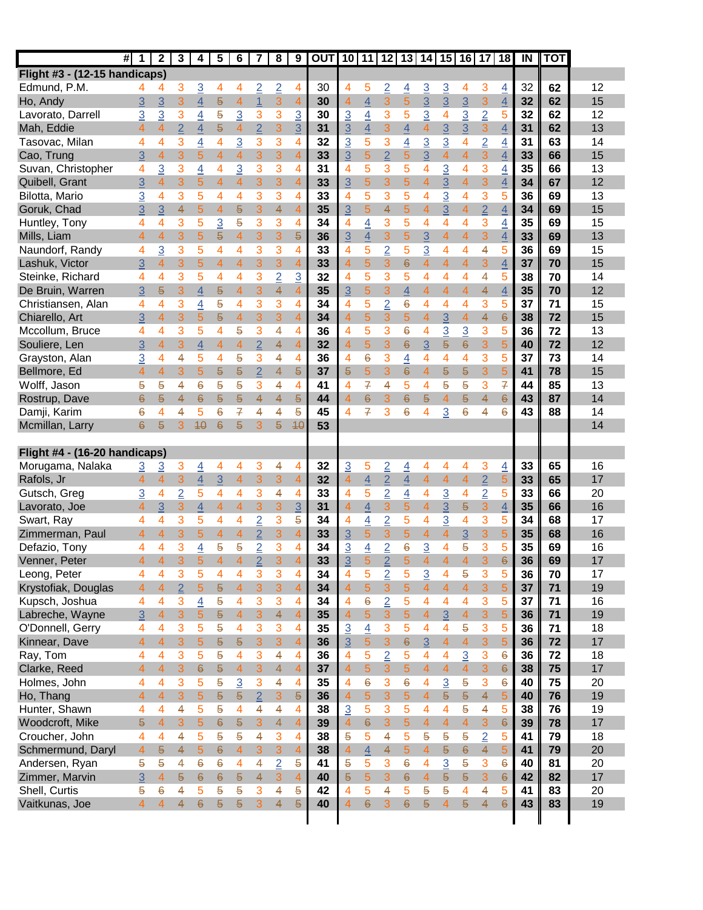| Flight #3 - (12-15 handicaps)<br>32<br>Edmund, P.M.<br>3<br>$\overline{3}$<br>$\overline{2}$<br>$\overline{2}$<br>30<br>4<br>5<br>$\overline{2}$<br>$\overline{3}$<br>$\overline{3}$<br>62<br>4<br>4<br>$\overline{4}$<br>4<br>3<br>$\overline{4}$<br>4<br>4<br>4<br>3<br>$\overline{5}$<br>3<br>$\overline{4}$<br>$\overline{3}$<br>$\overline{3}$<br>3<br>32<br>$\overline{3}$<br>$\overline{4}$<br>$\mathbf{1}$<br>$\overline{4}$<br>30<br>3<br>$\overline{5}$<br>$\overline{3}$<br>62<br>Ho, Andy<br>$\overline{3}$<br>$\overline{4}$<br>$\overline{4}$<br>$\overline{4}$<br>$\overline{3}$<br>$\overline{2}$<br>3<br>3<br>3<br>5<br>3<br>3<br>3<br>3<br>3<br>Lavorato, Darrell<br>3<br>$\overline{3}$<br>$\overline{4}$<br>5<br>4<br>32<br>4<br>30<br>5<br>62<br>$\overline{2}$<br>$\overline{5}$<br>$\overline{2}$<br>3<br>3<br>$\overline{3}$<br>$\overline{3}$<br>Mah, Eddie<br>31<br>$\overline{3}$<br>$\overline{4}$<br>3<br>$\overline{4}$<br>31<br>62<br>$\overline{4}$<br>$\overline{3}$<br>$\overline{4}$<br>4<br>4<br>4<br>4<br>$\overline{3}$<br>3<br>$\overline{3}$<br>3<br>3<br>32<br>$\overline{3}$<br>5<br>3<br>$\overline{3}$<br>$\overline{\mathcal{A}}$<br>$\overline{2}$<br>Tasovac, Milan<br>$\overline{4}$<br>4<br>$\overline{4}$<br>$\overline{4}$<br>31<br>63<br>4<br>4<br>4<br>3<br>5<br>3<br>3<br>$\overline{2}$<br>$\overline{4}$<br>$\overline{4}$<br>$\overline{4}$<br>3<br>$\overline{\mathbf{4}}$<br>3<br>Cao, Trung<br>3<br>4<br>5<br>$\overline{4}$<br>33<br>3<br>5<br>$\overline{4}$<br>33<br>66<br>35<br>Suvan, Christopher<br>3<br>$\overline{3}$<br>3<br>3<br>$\overline{4}$<br>5<br>$\overline{3}$<br>3<br>4<br>$\overline{3}$<br>$\overline{4}$<br>4<br>31<br>3<br>4<br>66 | 12<br>15<br>12<br>13<br>14<br>15<br>13<br>12<br>13<br>15 |
|-----------------------------------------------------------------------------------------------------------------------------------------------------------------------------------------------------------------------------------------------------------------------------------------------------------------------------------------------------------------------------------------------------------------------------------------------------------------------------------------------------------------------------------------------------------------------------------------------------------------------------------------------------------------------------------------------------------------------------------------------------------------------------------------------------------------------------------------------------------------------------------------------------------------------------------------------------------------------------------------------------------------------------------------------------------------------------------------------------------------------------------------------------------------------------------------------------------------------------------------------------------------------------------------------------------------------------------------------------------------------------------------------------------------------------------------------------------------------------------------------------------------------------------------------------------------------------------------------------------------------------------------------------------------------------------------------------------------------|----------------------------------------------------------|
|                                                                                                                                                                                                                                                                                                                                                                                                                                                                                                                                                                                                                                                                                                                                                                                                                                                                                                                                                                                                                                                                                                                                                                                                                                                                                                                                                                                                                                                                                                                                                                                                                                                                                                                       |                                                          |
|                                                                                                                                                                                                                                                                                                                                                                                                                                                                                                                                                                                                                                                                                                                                                                                                                                                                                                                                                                                                                                                                                                                                                                                                                                                                                                                                                                                                                                                                                                                                                                                                                                                                                                                       |                                                          |
|                                                                                                                                                                                                                                                                                                                                                                                                                                                                                                                                                                                                                                                                                                                                                                                                                                                                                                                                                                                                                                                                                                                                                                                                                                                                                                                                                                                                                                                                                                                                                                                                                                                                                                                       |                                                          |
|                                                                                                                                                                                                                                                                                                                                                                                                                                                                                                                                                                                                                                                                                                                                                                                                                                                                                                                                                                                                                                                                                                                                                                                                                                                                                                                                                                                                                                                                                                                                                                                                                                                                                                                       |                                                          |
|                                                                                                                                                                                                                                                                                                                                                                                                                                                                                                                                                                                                                                                                                                                                                                                                                                                                                                                                                                                                                                                                                                                                                                                                                                                                                                                                                                                                                                                                                                                                                                                                                                                                                                                       |                                                          |
|                                                                                                                                                                                                                                                                                                                                                                                                                                                                                                                                                                                                                                                                                                                                                                                                                                                                                                                                                                                                                                                                                                                                                                                                                                                                                                                                                                                                                                                                                                                                                                                                                                                                                                                       |                                                          |
|                                                                                                                                                                                                                                                                                                                                                                                                                                                                                                                                                                                                                                                                                                                                                                                                                                                                                                                                                                                                                                                                                                                                                                                                                                                                                                                                                                                                                                                                                                                                                                                                                                                                                                                       |                                                          |
| 4<br>5<br>4<br>4                                                                                                                                                                                                                                                                                                                                                                                                                                                                                                                                                                                                                                                                                                                                                                                                                                                                                                                                                                                                                                                                                                                                                                                                                                                                                                                                                                                                                                                                                                                                                                                                                                                                                                      |                                                          |
| 3<br>3<br>5<br>$\overline{4}$<br>3<br>Quibell, Grant<br>$\overline{4}$<br>3<br>$\overline{4}$<br>$\overline{3}$<br>3<br>5<br>34<br>$\overline{3}$<br>4<br>5<br>$\overline{4}$<br>33<br>4<br>$\overline{3}$<br>$\overline{4}$<br>67                                                                                                                                                                                                                                                                                                                                                                                                                                                                                                                                                                                                                                                                                                                                                                                                                                                                                                                                                                                                                                                                                                                                                                                                                                                                                                                                                                                                                                                                                    |                                                          |
| 5<br>Bilotta, Mario<br>36<br>3<br>3<br>5<br>3<br>3<br>33<br>$\overline{4}$<br>3<br>5<br>$\overline{3}$<br>4<br>3<br>5<br>4<br>4<br>$\overline{4}$<br>4<br>4<br>69                                                                                                                                                                                                                                                                                                                                                                                                                                                                                                                                                                                                                                                                                                                                                                                                                                                                                                                                                                                                                                                                                                                                                                                                                                                                                                                                                                                                                                                                                                                                                     |                                                          |
| 4<br>5<br>5<br>4<br>3<br>35<br>$\overline{3}$<br>4<br>5<br>$\overline{4}$<br>$\overline{2}$<br>34<br>Goruk, Chad<br>3<br>$\overline{3}$<br>4<br>5<br>4<br>4<br>$\overline{3}$<br>$\overline{4}$<br>69                                                                                                                                                                                                                                                                                                                                                                                                                                                                                                                                                                                                                                                                                                                                                                                                                                                                                                                                                                                                                                                                                                                                                                                                                                                                                                                                                                                                                                                                                                                 |                                                          |
| Huntley, Tony<br>$\overline{4}$<br>35<br>3<br>5<br>$\overline{3}$<br>5<br>3<br>3<br>34<br>$\overline{4}$<br>3<br>5<br>4<br>4<br>3<br>4<br>4<br>4<br>4<br>4<br>69                                                                                                                                                                                                                                                                                                                                                                                                                                                                                                                                                                                                                                                                                                                                                                                                                                                                                                                                                                                                                                                                                                                                                                                                                                                                                                                                                                                                                                                                                                                                                      | 15                                                       |
| 3<br>3<br>3<br>3<br>3<br>5<br>$\overline{4}$<br>Mills, Liam<br>5<br>$\overline{4}$<br>3<br>$\overline{4}$<br>$\overline{3}$<br>$\overline{4}$<br>33<br>$\overline{4}$<br>5<br>$\overline{5}$<br>36<br>4<br>$\overline{4}$<br>69                                                                                                                                                                                                                                                                                                                                                                                                                                                                                                                                                                                                                                                                                                                                                                                                                                                                                                                                                                                                                                                                                                                                                                                                                                                                                                                                                                                                                                                                                       | 13                                                       |
| 3<br>3<br>33<br>5<br>$\overline{2}$<br>$\overline{3}$<br>36<br>Naundorf, Randy<br>3<br>5<br>4<br>3<br>4<br>5<br>$\overline{4}$<br>4<br>4<br>5<br>69<br>4<br>4<br>4                                                                                                                                                                                                                                                                                                                                                                                                                                                                                                                                                                                                                                                                                                                                                                                                                                                                                                                                                                                                                                                                                                                                                                                                                                                                                                                                                                                                                                                                                                                                                    | 15                                                       |
| 3<br>5<br>3<br>$\ddot{\Theta}$<br>$\overline{4}$<br>Lashuk, Victor<br>5<br>$\overline{4}$<br>$\overline{4}$<br>3<br>33<br>$\overline{4}$<br>$\overline{4}$<br>3<br>37<br>3<br>$\overline{4}$<br>3<br>4<br>$\overline{4}$<br>70<br>4                                                                                                                                                                                                                                                                                                                                                                                                                                                                                                                                                                                                                                                                                                                                                                                                                                                                                                                                                                                                                                                                                                                                                                                                                                                                                                                                                                                                                                                                                   | 15                                                       |
| Steinke, Richard<br>3<br>3<br>$\overline{2}$<br>32<br>5<br>3<br>38<br>70<br>5<br>4<br>4<br>$\overline{3}$<br>$\overline{4}$<br>5<br>4<br>4<br>4<br>4<br>5<br>4<br>4                                                                                                                                                                                                                                                                                                                                                                                                                                                                                                                                                                                                                                                                                                                                                                                                                                                                                                                                                                                                                                                                                                                                                                                                                                                                                                                                                                                                                                                                                                                                                   | 14                                                       |
| 5<br>35<br>3<br>$\overline{4}$<br>3<br>4<br>3<br>$\overline{\mathcal{A}}$<br>$\overline{4}$<br>$\overline{4}$<br>4<br>De Bruin, Warren<br>$\overline{4}$<br>$\overline{5}$<br>35<br>$\overline{3}$<br>$\overline{4}$<br>$\overline{4}$<br>70<br>3<br>5<br>$\overline{4}$                                                                                                                                                                                                                                                                                                                                                                                                                                                                                                                                                                                                                                                                                                                                                                                                                                                                                                                                                                                                                                                                                                                                                                                                                                                                                                                                                                                                                                              | 12                                                       |
| $\overline{2}$<br>3<br>5<br>5<br>4<br>Christiansen, Alan<br>4<br>$\overline{4}$<br>4<br>3<br>3<br>34<br>4<br>6<br>4<br>4<br>3<br>5<br>37<br>71<br>4<br>4                                                                                                                                                                                                                                                                                                                                                                                                                                                                                                                                                                                                                                                                                                                                                                                                                                                                                                                                                                                                                                                                                                                                                                                                                                                                                                                                                                                                                                                                                                                                                              | 15                                                       |
| 3<br>3<br>5<br>38<br>Chiarello, Art<br>5<br>$\overline{4}$<br>3<br>$\overline{4}$<br>34<br>$\overline{4}$<br>3<br>5<br>$\overline{4}$<br>$\overline{3}$<br>$\overline{4}$<br>4<br>6<br>72<br>3<br>$\overline{4}$<br>5                                                                                                                                                                                                                                                                                                                                                                                                                                                                                                                                                                                                                                                                                                                                                                                                                                                                                                                                                                                                                                                                                                                                                                                                                                                                                                                                                                                                                                                                                                 | 15                                                       |
| 3<br>5<br>3<br>4<br>36<br>5<br>3<br>$\overline{3}$<br>$\overline{3}$<br>3<br>5<br>36<br>72<br>Mccollum, Bruce<br>4<br>4<br>4<br>5<br>4<br>4<br>$\boldsymbol{6}$<br>4                                                                                                                                                                                                                                                                                                                                                                                                                                                                                                                                                                                                                                                                                                                                                                                                                                                                                                                                                                                                                                                                                                                                                                                                                                                                                                                                                                                                                                                                                                                                                  | 13                                                       |
| 5<br>3<br>$\overline{4}$<br>4<br>3<br>5<br>3<br>$\overline{\mathcal{A}}$<br>$\overline{4}$<br>$\overline{2}$<br>$\overline{4}$<br>$\overline{4}$<br>$\overline{3}$<br>$\overline{5}$<br>6<br>72<br>Souliere, Len<br>3<br>4<br>32<br>$\ddot{\theta}$<br>40                                                                                                                                                                                                                                                                                                                                                                                                                                                                                                                                                                                                                                                                                                                                                                                                                                                                                                                                                                                                                                                                                                                                                                                                                                                                                                                                                                                                                                                             | 12                                                       |
| 5<br>4<br>5<br>3<br>36<br>$\epsilon$<br>3<br>4<br>5<br>37<br>73<br>Grayston, Alan<br>$\overline{3}$<br>4<br>4<br>4<br>4<br>$\overline{4}$<br>$\overline{4}$<br>4<br>4<br>3                                                                                                                                                                                                                                                                                                                                                                                                                                                                                                                                                                                                                                                                                                                                                                                                                                                                                                                                                                                                                                                                                                                                                                                                                                                                                                                                                                                                                                                                                                                                            | 14                                                       |
| 5<br>3<br>5<br>3<br>$\overline{\mathcal{A}}$<br>$\overline{5}$<br>Bellmore, Ed<br>3<br>$\overline{5}$<br>$\overline{5}$<br>$\overline{2}$<br>4<br>$\overline{5}$<br>$\overline{5}$<br>5<br>41<br>78<br>4<br>37<br>5<br>6<br>$\overline{4}$                                                                                                                                                                                                                                                                                                                                                                                                                                                                                                                                                                                                                                                                                                                                                                                                                                                                                                                                                                                                                                                                                                                                                                                                                                                                                                                                                                                                                                                                            | 15                                                       |
| 7<br>Wolff, Jason<br>3<br>$\overline{f}$<br>44<br>5<br>4<br>$\overline{6}$<br>5<br>5<br>4<br>4<br>41<br>4<br>4<br>5<br>5<br>5<br>3<br>85<br>5<br>4                                                                                                                                                                                                                                                                                                                                                                                                                                                                                                                                                                                                                                                                                                                                                                                                                                                                                                                                                                                                                                                                                                                                                                                                                                                                                                                                                                                                                                                                                                                                                                    | 13                                                       |
| 43<br>Rostrup, Dave<br>$\ddot{\theta}$<br>5<br>4<br>87<br>$\overline{4}$<br>5<br>5<br>4<br>4<br>44<br>4<br>3<br>6<br>5<br>$\overline{4}$<br>6<br>$\overline{6}$<br>5<br>$\overline{6}$<br>5                                                                                                                                                                                                                                                                                                                                                                                                                                                                                                                                                                                                                                                                                                                                                                                                                                                                                                                                                                                                                                                                                                                                                                                                                                                                                                                                                                                                                                                                                                                           | 14                                                       |
| Damji, Karim<br>$\overline{f}$<br>7<br>3<br>$\overline{6}$<br>4<br>5<br>$\overline{6}$<br>4<br>5<br>4<br>6<br>3<br>6<br>6<br>43<br>4<br>4<br>45<br>4<br>4<br>88                                                                                                                                                                                                                                                                                                                                                                                                                                                                                                                                                                                                                                                                                                                                                                                                                                                                                                                                                                                                                                                                                                                                                                                                                                                                                                                                                                                                                                                                                                                                                       | 14                                                       |
| $6\overline{6}$<br>3<br>6<br>3<br>5<br>53<br>Mcmillan, Larry<br>5<br>$4\theta$<br>5<br>40                                                                                                                                                                                                                                                                                                                                                                                                                                                                                                                                                                                                                                                                                                                                                                                                                                                                                                                                                                                                                                                                                                                                                                                                                                                                                                                                                                                                                                                                                                                                                                                                                             | 14                                                       |
|                                                                                                                                                                                                                                                                                                                                                                                                                                                                                                                                                                                                                                                                                                                                                                                                                                                                                                                                                                                                                                                                                                                                                                                                                                                                                                                                                                                                                                                                                                                                                                                                                                                                                                                       |                                                          |
| Flight #4 - (16-20 handicaps)                                                                                                                                                                                                                                                                                                                                                                                                                                                                                                                                                                                                                                                                                                                                                                                                                                                                                                                                                                                                                                                                                                                                                                                                                                                                                                                                                                                                                                                                                                                                                                                                                                                                                         |                                                          |
| Morugama, Nalaka<br>$\overline{3}$<br>3<br>3<br>4<br>32<br>$\overline{3}$<br>$\overline{2}$<br>3<br>33<br>65<br>$\overline{3}$<br>$\overline{4}$<br>4<br>4<br>4<br>5<br>$\overline{4}$<br>4<br>4<br>4<br>$\overline{4}$                                                                                                                                                                                                                                                                                                                                                                                                                                                                                                                                                                                                                                                                                                                                                                                                                                                                                                                                                                                                                                                                                                                                                                                                                                                                                                                                                                                                                                                                                               | 16                                                       |
| 3<br>3<br>$\overline{4}$<br>$\overline{2}$<br>$\overline{4}$<br>$\overline{4}$<br>$\overline{2}$<br>33<br>Rafols, Jr<br>$\overline{3}$<br>$\overline{4}$<br>3<br>$\overline{4}$<br>32<br>$\overline{4}$<br>65<br>$\overline{4}$<br>4<br>$\overline{4}$<br>$\overline{4}$<br>$\overline{4}$<br>5                                                                                                                                                                                                                                                                                                                                                                                                                                                                                                                                                                                                                                                                                                                                                                                                                                                                                                                                                                                                                                                                                                                                                                                                                                                                                                                                                                                                                       | 17                                                       |
| $\overline{3}$<br>$\overline{2}$<br>5<br>$\overline{\mathcal{A}}$<br>3<br>5<br>$\overline{2}$<br>$\overline{4}$<br>$\overline{3}$<br>$\overline{2}$<br>5<br>Gutsch, Greg<br>4<br>$\overline{4}$<br>4<br>4<br>4<br>4<br>33<br>33<br>4<br>66                                                                                                                                                                                                                                                                                                                                                                                                                                                                                                                                                                                                                                                                                                                                                                                                                                                                                                                                                                                                                                                                                                                                                                                                                                                                                                                                                                                                                                                                            | 20                                                       |
| $\overline{4}$<br>$\overline{4}$<br>$\overline{5}$<br>$\overline{4}$<br>3<br>3<br>$\overline{4}$<br>35<br>Lavorato, Joe<br>$\overline{3}$<br>3<br>$\overline{4}$<br>$\overline{3}$<br>31<br>3<br>5<br>$\overline{4}$<br>$\overline{3}$<br>3<br>$\overline{4}$<br>$\overline{4}$<br>66                                                                                                                                                                                                                                                                                                                                                                                                                                                                                                                                                                                                                                                                                                                                                                                                                                                                                                                                                                                                                                                                                                                                                                                                                                                                                                                                                                                                                                 | 16                                                       |
| $\overline{2}$<br>$\overline{2}$<br>3<br>Swart, Ray<br>3<br>5<br>4<br>3<br>5<br>$\overline{4}$<br>$\overline{4}$<br>5<br>$\overline{3}$<br>4<br>5<br>34<br>4<br>4<br>4<br>34<br>4<br>68                                                                                                                                                                                                                                                                                                                                                                                                                                                                                                                                                                                                                                                                                                                                                                                                                                                                                                                                                                                                                                                                                                                                                                                                                                                                                                                                                                                                                                                                                                                               | 17                                                       |
| 3<br>3<br>5<br>3<br>5<br>$\overline{4}$<br>$\overline{4}$<br>$\overline{3}$<br>5<br>5<br>35<br>$\overline{4}$<br>$\overline{4}$<br>$\overline{2}$<br>33<br>3<br>$\overline{4}$<br>$\overline{3}$<br>Zimmerman, Paul<br>$\overline{4}$<br>4<br>68                                                                                                                                                                                                                                                                                                                                                                                                                                                                                                                                                                                                                                                                                                                                                                                                                                                                                                                                                                                                                                                                                                                                                                                                                                                                                                                                                                                                                                                                      | 16                                                       |
| 35<br>Defazio, Tony<br>3<br>$\overline{2}$<br>3<br>$\overline{3}$<br>$\overline{2}$<br>$\overline{3}$<br>5<br>3<br>5<br>5<br>34<br>$\overline{4}$<br>6<br>69<br>4<br>4<br>$\overline{4}$<br>5<br>4<br>4                                                                                                                                                                                                                                                                                                                                                                                                                                                                                                                                                                                                                                                                                                                                                                                                                                                                                                                                                                                                                                                                                                                                                                                                                                                                                                                                                                                                                                                                                                               | 16                                                       |
| 3<br>3<br>3<br>$\overline{2}$<br>$\overline{\mathcal{A}}$<br>3<br>5<br>5<br>$\overline{4}$<br>$\overline{4}$<br>6<br>Venner, Peter<br>$\overline{4}$<br>4<br>4<br>33<br>$\overline{2}$<br>36<br>69<br>4<br>5<br>4                                                                                                                                                                                                                                                                                                                                                                                                                                                                                                                                                                                                                                                                                                                                                                                                                                                                                                                                                                                                                                                                                                                                                                                                                                                                                                                                                                                                                                                                                                     | 17                                                       |
| 34<br>36<br>3<br>5<br>3<br>3<br>4<br>5<br>$\overline{2}$<br>$\overline{3}$<br>5<br>3<br>5<br>70<br>Leong, Peter<br>4<br>4<br>4<br>4<br>4<br>5<br>4                                                                                                                                                                                                                                                                                                                                                                                                                                                                                                                                                                                                                                                                                                                                                                                                                                                                                                                                                                                                                                                                                                                                                                                                                                                                                                                                                                                                                                                                                                                                                                    | 17                                                       |
| 3<br>$\overline{5}$<br>$\overline{2}$<br>3<br>5<br>$\overline{4}$<br>3<br>5<br>$\overline{4}$<br>$\overline{4}$<br>37<br>Krystofiak, Douglas<br>$\overline{4}$<br>$\overline{4}$<br>$\overline{5}$<br>$\overline{4}$<br>34<br>$\overline{4}$<br>3<br>$\overline{5}$<br>71<br>4                                                                                                                                                                                                                                                                                                                                                                                                                                                                                                                                                                                                                                                                                                                                                                                                                                                                                                                                                                                                                                                                                                                                                                                                                                                                                                                                                                                                                                        | 19                                                       |
| Kupsch, Joshua<br>4<br>3<br>$\overline{4}$<br>5<br>3<br>3<br>$\overline{4}$<br>$\boldsymbol{6}$<br>$\overline{2}$<br>4<br>4<br>3<br>5<br>4<br>4<br>4<br>34<br>5<br>4<br>37<br>71                                                                                                                                                                                                                                                                                                                                                                                                                                                                                                                                                                                                                                                                                                                                                                                                                                                                                                                                                                                                                                                                                                                                                                                                                                                                                                                                                                                                                                                                                                                                      | 16                                                       |
| $\overline{\mathbf{4}}$<br>$\overline{5}$<br>3<br>5<br>$\overline{4}$<br>3<br>35<br>5<br>$\overline{4}$<br>3<br>Labreche, Wayne<br>$\overline{3}$<br>$\overline{4}$<br>$\overline{4}$<br>$\overline{4}$<br>5<br>36<br>71<br>$\overline{4}$<br>3<br>$\overline{3}$<br>$\overline{5}$                                                                                                                                                                                                                                                                                                                                                                                                                                                                                                                                                                                                                                                                                                                                                                                                                                                                                                                                                                                                                                                                                                                                                                                                                                                                                                                                                                                                                                   | 19                                                       |
| $\overline{4}$<br>36<br>O'Donnell, Gerry<br>3<br>5<br>5<br>4<br>3<br>3<br>35<br>$\overline{3}$<br>3<br>5<br>4<br>5<br>3<br>5<br>71<br>4<br>4<br>4<br>4                                                                                                                                                                                                                                                                                                                                                                                                                                                                                                                                                                                                                                                                                                                                                                                                                                                                                                                                                                                                                                                                                                                                                                                                                                                                                                                                                                                                                                                                                                                                                                | 18                                                       |
| 3<br>$\overline{5}$<br>3<br>$\overline{4}$<br>3<br>5<br>$\overline{5}$<br>3<br>$\overline{3}$<br>$\overline{4}$<br>$\overline{4}$<br>3<br>5<br>36<br>Kinnear, Dave<br>$\overline{4}$<br>$\overline{5}$<br>$\overline{4}$<br>36<br>$\boldsymbol{\theta}$<br>$\overline{3}$<br>72                                                                                                                                                                                                                                                                                                                                                                                                                                                                                                                                                                                                                                                                                                                                                                                                                                                                                                                                                                                                                                                                                                                                                                                                                                                                                                                                                                                                                                       | 17                                                       |
| $\overline{\mathbf{4}}$<br>$\overline{2}$<br>$\overline{3}$<br>36<br>Ray, Tom<br>4<br>4<br>3<br>5<br>5<br>4<br>3<br>36<br>5<br>5<br>4<br>4<br>3<br>6<br>72<br>4<br>$\overline{4}$                                                                                                                                                                                                                                                                                                                                                                                                                                                                                                                                                                                                                                                                                                                                                                                                                                                                                                                                                                                                                                                                                                                                                                                                                                                                                                                                                                                                                                                                                                                                     | 18                                                       |
| $\overline{5}$<br>3<br>3<br>$\overline{\mathcal{A}}$<br>$\overline{4}$<br>$\overline{4}$<br>3<br>38<br>Clarke, Reed<br>$\overline{4}$<br>$\overline{4}$<br>$\overline{5}$<br>$\overline{4}$<br>$\overline{4}$<br>$\overline{4}$<br>3<br>$\overline{5}$<br>$\overline{4}$<br>$\ddot{\theta}$<br>75<br>$\boldsymbol{\theta}$<br>37                                                                                                                                                                                                                                                                                                                                                                                                                                                                                                                                                                                                                                                                                                                                                                                                                                                                                                                                                                                                                                                                                                                                                                                                                                                                                                                                                                                      | 17                                                       |
| 3<br>$\overline{3}$<br>3<br>$\boldsymbol{6}$<br>3<br>$\ddot{\theta}$<br>40<br>75<br>Holmes, John<br>4<br>4<br>5<br>5<br>4<br>4<br>35<br>$\overline{4}$<br>$\ddot{\theta}$<br>4<br>$\overline{3}$<br>5<br>3                                                                                                                                                                                                                                                                                                                                                                                                                                                                                                                                                                                                                                                                                                                                                                                                                                                                                                                                                                                                                                                                                                                                                                                                                                                                                                                                                                                                                                                                                                            | 20                                                       |
| 3<br>$\overline{5}$<br>3<br>$\overline{5}$<br>$\overline{4}$<br>$\overline{4}$<br>5<br>$\overline{5}$<br>$\overline{2}$<br>3<br>$\overline{4}$<br>$\overline{5}$<br>$\overline{4}$<br>$\overline{\mathcal{A}}$<br>$\overline{5}$<br>40<br>76<br>Ho, Thang<br>$\overline{5}$<br>36<br>$\overline{5}$<br>$\overline{5}$                                                                                                                                                                                                                                                                                                                                                                                                                                                                                                                                                                                                                                                                                                                                                                                                                                                                                                                                                                                                                                                                                                                                                                                                                                                                                                                                                                                                 | 19                                                       |
| 5<br>5<br>Hunter, Shawn<br>4<br>4<br>5<br>5<br>4<br>$\overline{4}$<br>$\overline{3}$<br>3<br>5<br>4<br>4<br>5<br>38<br>76<br>4<br>4<br>4<br>38<br>4                                                                                                                                                                                                                                                                                                                                                                                                                                                                                                                                                                                                                                                                                                                                                                                                                                                                                                                                                                                                                                                                                                                                                                                                                                                                                                                                                                                                                                                                                                                                                                   | 19                                                       |
| $\overline{\mathcal{A}}$<br>$\overline{6}$<br>3<br>$\overline{5}$<br>$\overline{4}$<br>$\overline{4}$<br>Woodcroft, Mike<br>$\overline{5}$<br>3<br>5<br>$\overline{5}$<br>3<br>$\overline{4}$<br>$\overline{4}$<br>3<br>39<br>$\overline{4}$<br>$6\phantom{1}6$<br>39<br>$\overline{4}$<br>6<br>78                                                                                                                                                                                                                                                                                                                                                                                                                                                                                                                                                                                                                                                                                                                                                                                                                                                                                                                                                                                                                                                                                                                                                                                                                                                                                                                                                                                                                    | 17                                                       |
| 5<br>$\overline{2}$<br>Croucher, John<br>4<br>5<br>5<br>4<br>3<br>5<br>4<br>5<br>5<br>$\overline{5}$<br>5<br>41<br>79<br>4<br>4<br>5<br>$\overline{4}$<br>38<br>5                                                                                                                                                                                                                                                                                                                                                                                                                                                                                                                                                                                                                                                                                                                                                                                                                                                                                                                                                                                                                                                                                                                                                                                                                                                                                                                                                                                                                                                                                                                                                     | 18                                                       |
| 3<br>$\overline{4}$<br>5<br>$\overline{5}$<br>Schmermund, Daryl<br>$\overline{4}$<br>$\overline{4}$<br>5<br>$\ddot{\theta}$<br>$\overline{4}$<br>3<br>4<br>$\overline{4}$<br>$\ddot{\theta}$<br>$\overline{5}$<br>$\overline{4}$<br>$\overline{4}$<br>$\overline{5}$<br>$\overline{4}$<br>41<br>79<br>38                                                                                                                                                                                                                                                                                                                                                                                                                                                                                                                                                                                                                                                                                                                                                                                                                                                                                                                                                                                                                                                                                                                                                                                                                                                                                                                                                                                                              | 20                                                       |
| 5<br>$\overline{2}$<br>5<br>$\epsilon$<br>Andersen, Ryan<br>5<br>4<br>6<br>$\boldsymbol{6}$<br>4<br>4<br>$\overline{5}$<br>5<br>3<br>4<br>$\overline{3}$<br>5<br>3<br>$\ddot{\theta}$<br>40<br>81<br>41                                                                                                                                                                                                                                                                                                                                                                                                                                                                                                                                                                                                                                                                                                                                                                                                                                                                                                                                                                                                                                                                                                                                                                                                                                                                                                                                                                                                                                                                                                               | 20                                                       |
| $\overline{5}$<br>Zimmer, Marvin<br>$\overline{3}$<br>$\overline{4}$<br>$\ddot{\theta}$<br>$\overline{\mathcal{A}}$<br>3<br>3<br>$\overline{4}$<br>$\overline{5}$<br>3<br>42<br>$\overline{5}$<br>$\overline{4}$<br>40<br>$\epsilon$<br>$\overline{5}$<br>$\ddot{\theta}$<br>82<br>5<br>$6\overline{6}$<br>$\overline{5}$                                                                                                                                                                                                                                                                                                                                                                                                                                                                                                                                                                                                                                                                                                                                                                                                                                                                                                                                                                                                                                                                                                                                                                                                                                                                                                                                                                                             | 17                                                       |
| 4<br>5<br>Shell, Curtis<br>$\overline{5}$<br>$\boldsymbol{6}$<br>4<br>5<br>5<br>5<br>3<br>$\overline{4}$<br>4<br>5<br>5<br>5<br>4<br>4<br>5<br>41<br>5<br>42<br>83                                                                                                                                                                                                                                                                                                                                                                                                                                                                                                                                                                                                                                                                                                                                                                                                                                                                                                                                                                                                                                                                                                                                                                                                                                                                                                                                                                                                                                                                                                                                                    | 20                                                       |
| $\overline{4}$<br>$\overline{\mathbf{4}}$<br>$\overline{6}$<br>$\overline{5}$<br>Vaitkunas, Joe<br>4<br>$\overline{\mathbf{4}}$<br>$\overline{\Theta}$<br>$\overline{5}$<br>$\overline{5}$<br>3<br>$\overline{5}$<br>40<br>$\overline{4}$<br>3<br>$\overline{6}$<br>$\overline{5}$<br>$\overline{4}$<br>$\ddot{\theta}$<br>43<br>83<br>4                                                                                                                                                                                                                                                                                                                                                                                                                                                                                                                                                                                                                                                                                                                                                                                                                                                                                                                                                                                                                                                                                                                                                                                                                                                                                                                                                                              | 19                                                       |
|                                                                                                                                                                                                                                                                                                                                                                                                                                                                                                                                                                                                                                                                                                                                                                                                                                                                                                                                                                                                                                                                                                                                                                                                                                                                                                                                                                                                                                                                                                                                                                                                                                                                                                                       |                                                          |